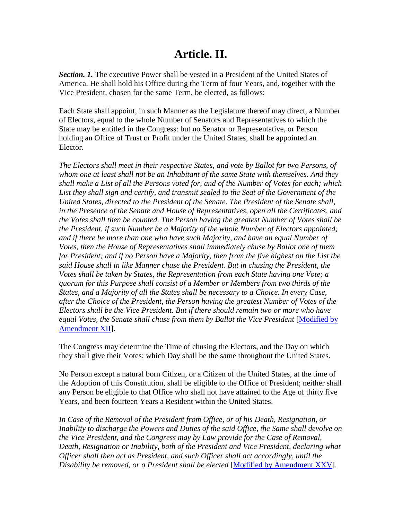## **Article. II.**

*Section. 1.* The executive Power shall be vested in a President of the United States of America. He shall hold his Office during the Term of four Years, and, together with the Vice President, chosen for the same Term, be elected, as follows:

Each State shall appoint, in such Manner as the Legislature thereof may direct, a Number of Electors, equal to the whole Number of Senators and Representatives to which the State may be entitled in the Congress: but no Senator or Representative, or Person holding an Office of Trust or Profit under the United States, shall be appointed an Elector.

*The Electors shall meet in their respective States, and vote by Ballot for two Persons, of whom one at least shall not be an Inhabitant of the same State with themselves. And they shall make a List of all the Persons voted for, and of the Number of Votes for each; which List they shall sign and certify, and transmit sealed to the Seat of the Government of the United States, directed to the President of the Senate. The President of the Senate shall, in the Presence of the Senate and House of Representatives, open all the Certificates, and the Votes shall then be counted. The Person having the greatest Number of Votes shall be the President, if such Number be a Majority of the whole Number of Electors appointed; and if there be more than one who have such Majority, and have an equal Number of Votes, then the House of Representatives shall immediately chuse by Ballot one of them for President; and if no Person have a Majority, then from the five highest on the List the said House shall in like Manner chuse the President. But in chusing the President, the Votes shall be taken by States, the Representation from each State having one Vote; a quorum for this Purpose shall consist of a Member or Members from two thirds of the States, and a Majority of all the States shall be necessary to a Choice. In every Case, after the Choice of the President, the Person having the greatest Number of Votes of the Electors shall be the Vice President. But if there should remain two or more who have equal Votes, the Senate shall chuse from them by Ballot the Vice President* [Modified by Amendment XII].

The Congress may determine the Time of chusing the Electors, and the Day on which they shall give their Votes; which Day shall be the same throughout the United States.

No Person except a natural born Citizen, or a Citizen of the United States, at the time of the Adoption of this Constitution, shall be eligible to the Office of President; neither shall any Person be eligible to that Office who shall not have attained to the Age of thirty five Years, and been fourteen Years a Resident within the United States.

*In Case of the Removal of the President from Office, or of his Death, Resignation, or Inability to discharge the Powers and Duties of the said Office, the Same shall devolve on the Vice President, and the Congress may by Law provide for the Case of Removal, Death, Resignation or Inability, both of the President and Vice President, declaring what Officer shall then act as President, and such Officer shall act accordingly, until the Disability be removed, or a President shall be elected* [Modified by Amendment XXV].